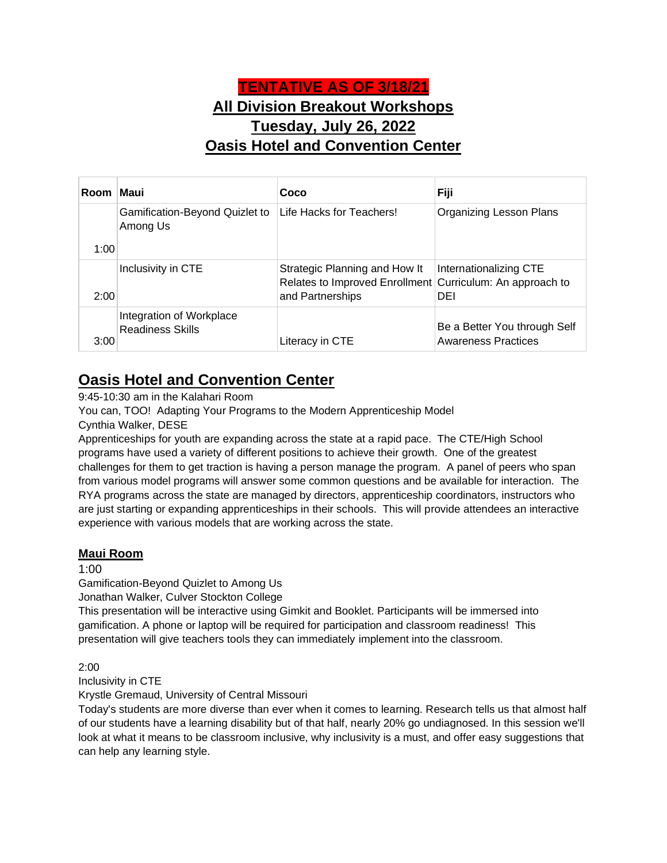# **TENTATIVE AS OF 3/18/21 All Division Breakout Workshops Tuesday, July 26, 2022 Oasis Hotel and Convention Center**

| Room Maui |                                                     | Coco                                                                                       | Fiji                                                       |
|-----------|-----------------------------------------------------|--------------------------------------------------------------------------------------------|------------------------------------------------------------|
|           | Gamification-Beyond Quizlet to<br>Among Us          | Life Hacks for Teachers!                                                                   | <b>Organizing Lesson Plans</b>                             |
| 1:00      |                                                     |                                                                                            |                                                            |
|           | Inclusivity in CTE                                  | Strategic Planning and How It<br>Relates to Improved Enrollment Curriculum: An approach to | Internationalizing CTE                                     |
| 2:00      |                                                     | and Partnerships                                                                           | DEI                                                        |
| 3:00      | Integration of Workplace<br><b>Readiness Skills</b> | Literacy in CTE                                                                            | Be a Better You through Self<br><b>Awareness Practices</b> |

# **Oasis Hotel and Convention Center**

9:45-10:30 am in the Kalahari Room

You can, TOO! Adapting Your Programs to the Modern Apprenticeship Model

Cynthia Walker, DESE

Apprenticeships for youth are expanding across the state at a rapid pace. The CTE/High School programs have used a variety of different positions to achieve their growth. One of the greatest challenges for them to get traction is having a person manage the program. A panel of peers who span from various model programs will answer some common questions and be available for interaction. The RYA programs across the state are managed by directors, apprenticeship coordinators, instructors who are just starting or expanding apprenticeships in their schools. This will provide attendees an interactive experience with various models that are working across the state.

### **Maui Room**

1:00

Gamification-Beyond Quizlet to Among Us

Jonathan Walker, Culver Stockton College

This presentation will be interactive using Gimkit and Booklet. Participants will be immersed into gamification. A phone or laptop will be required for participation and classroom readiness! This presentation will give teachers tools they can immediately implement into the classroom.

2:00

Inclusivity in CTE

Krystle Gremaud, University of Central Missouri

Today's students are more diverse than ever when it comes to learning. Research tells us that almost half of our students have a learning disability but of that half, nearly 20% go undiagnosed. In this session we'll look at what it means to be classroom inclusive, why inclusivity is a must, and offer easy suggestions that can help any learning style.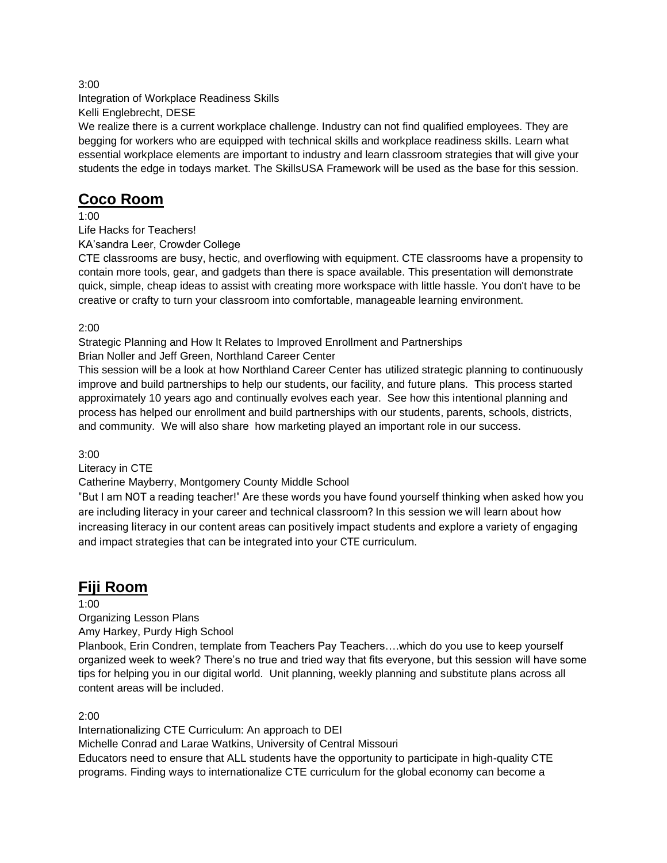Integration of Workplace Readiness Skills Kelli Englebrecht, DESE

We realize there is a current workplace challenge. Industry can not find qualified employees. They are begging for workers who are equipped with technical skills and workplace readiness skills. Learn what essential workplace elements are important to industry and learn classroom strategies that will give your students the edge in todays market. The SkillsUSA Framework will be used as the base for this session.

## **Coco Room**

1:00

Life Hacks for Teachers!

KA'sandra Leer, Crowder College

CTE classrooms are busy, hectic, and overflowing with equipment. CTE classrooms have a propensity to contain more tools, gear, and gadgets than there is space available. This presentation will demonstrate quick, simple, cheap ideas to assist with creating more workspace with little hassle. You don't have to be creative or crafty to turn your classroom into comfortable, manageable learning environment.

2:00

Strategic Planning and How It Relates to Improved Enrollment and Partnerships Brian Noller and Jeff Green, Northland Career Center

This session will be a look at how Northland Career Center has utilized strategic planning to continuously improve and build partnerships to help our students, our facility, and future plans. This process started approximately 10 years ago and continually evolves each year. See how this intentional planning and process has helped our enrollment and build partnerships with our students, parents, schools, districts, and community. We will also share how marketing played an important role in our success.

3:00

Literacy in CTE

Catherine Mayberry, Montgomery County Middle School

"But I am NOT a reading teacher!" Are these words you have found yourself thinking when asked how you are including literacy in your career and technical classroom? In this session we will learn about how increasing literacy in our content areas can positively impact students and explore a variety of engaging and impact strategies that can be integrated into your CTE curriculum.

# **Fiji Room**

1:00

Organizing Lesson Plans

Amy Harkey, Purdy High School

Planbook, Erin Condren, template from Teachers Pay Teachers….which do you use to keep yourself organized week to week? There's no true and tried way that fits everyone, but this session will have some tips for helping you in our digital world. Unit planning, weekly planning and substitute plans across all content areas will be included.

2:00

Internationalizing CTE Curriculum: An approach to DEI Michelle Conrad and Larae Watkins, University of Central Missouri Educators need to ensure that ALL students have the opportunity to participate in high-quality CTE programs. Finding ways to internationalize CTE curriculum for the global economy can become a

3:00